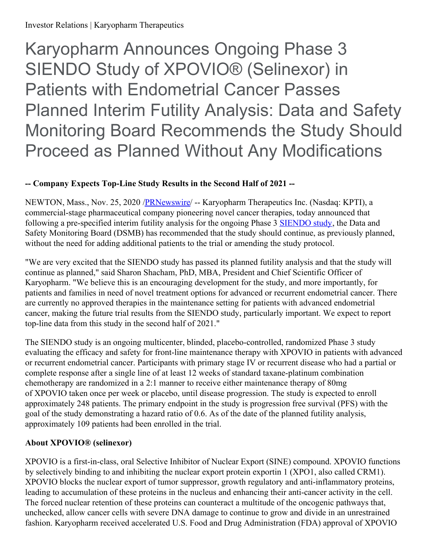Investor Relations | Karyopharm Therapeutics

Karyopharm Announces Ongoing Phase 3 SIENDO Study of XPOVIO® (Selinexor) in Patients with Endometrial Cancer Passes Planned Interim Futility Analysis: Data and Safety Monitoring Board Recommends the Study Should Proceed as Planned Without Any Modifications

# **-- Company Expects Top-Line Study Results in the Second Half of 2021 --**

NEWTON, Mass., Nov. 25, 2020 [/PRNewswire](http://www.prnewswire.com/)/ -- Karyopharm Therapeutics Inc. (Nasdaq: KPTI), a commercial-stage pharmaceutical company pioneering novel cancer therapies, today announced that following a pre-specified interim futility analysis for the ongoing Phase 3 [SIENDO](https://c212.net/c/link/?t=0&l=en&o=2992531-1&h=2497297632&u=https%3A%2F%2Fwww.karyopharm.com%2Fpipeline%2Fprograms%2Fendometrial-cancer-siendo%2F&a=SIENDO+study) study, the Data and Safety Monitoring Board (DSMB) has recommended that the study should continue, as previously planned, without the need for adding additional patients to the trial or amending the study protocol.

"We are very excited that the SIENDO study has passed its planned futility analysis and that the study will continue as planned," said Sharon Shacham, PhD, MBA, President and Chief Scientific Officer of Karyopharm. "We believe this is an encouraging development for the study, and more importantly, for patients and families in need of novel treatment options for advanced or recurrent endometrial cancer. There are currently no approved therapies in the maintenance setting for patients with advanced endometrial cancer, making the future trial results from the SIENDO study, particularly important. We expect to report top-line data from this study in the second half of 2021."

The SIENDO study is an ongoing multicenter, blinded, placebo-controlled, randomized Phase 3 study evaluating the efficacy and safety for front-line maintenance therapy with XPOVIO in patients with advanced or recurrent endometrial cancer. Participants with primary stage IV or recurrent disease who had a partial or complete response after a single line of at least 12 weeks of standard taxane-platinum combination chemotherapy are randomized in a 2:1 manner to receive either maintenance therapy of 80mg of XPOVIO taken once per week or placebo, until disease progression. The study is expected to enroll approximately 248 patients. The primary endpoint in the study is progression free survival (PFS) with the goal of the study demonstrating a hazard ratio of 0.6. As of the date of the planned futility analysis, approximately 109 patients had been enrolled in the trial.

## **About XPOVIO® (selinexor)**

XPOVIO is a first-in-class, oral Selective Inhibitor of Nuclear Export (SINE) compound. XPOVIO functions by selectively binding to and inhibiting the nuclear export protein exportin 1 (XPO1, also called CRM1). XPOVIO blocks the nuclear export of tumor suppressor, growth regulatory and anti-inflammatory proteins, leading to accumulation of these proteins in the nucleus and enhancing their anti-cancer activity in the cell. The forced nuclear retention of these proteins can counteract a multitude of the oncogenic pathways that, unchecked, allow cancer cells with severe DNA damage to continue to grow and divide in an unrestrained fashion. Karyopharm received accelerated U.S. Food and Drug Administration (FDA) approval of XPOVIO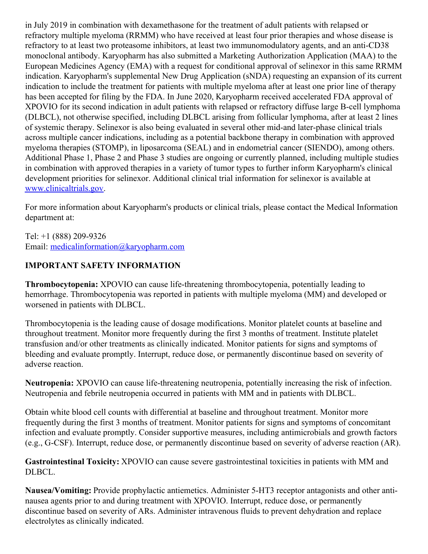in July 2019 in combination with dexamethasone for the treatment of adult patients with relapsed or refractory multiple myeloma (RRMM) who have received at least four prior therapies and whose disease is refractory to at least two proteasome inhibitors, at least two immunomodulatory agents, and an anti-CD38 monoclonal antibody. Karyopharm has also submitted a Marketing Authorization Application (MAA) to the European Medicines Agency (EMA) with a request for conditional approval of selinexor in this same RRMM indication. Karyopharm's supplemental New Drug Application (sNDA) requesting an expansion of its current indication to include the treatment for patients with multiple myeloma after at least one prior line of therapy has been accepted for filing by the FDA. In June 2020, Karyopharm received accelerated FDA approval of XPOVIO for its second indication in adult patients with relapsed or refractory diffuse large B-cell lymphoma (DLBCL), not otherwise specified, including DLBCL arising from follicular lymphoma, after at least 2 lines of systemic therapy. Selinexor is also being evaluated in several other mid-and later-phase clinical trials across multiple cancer indications, including as a potential backbone therapy in combination with approved myeloma therapies (STOMP), in liposarcoma (SEAL) and in endometrial cancer (SIENDO), among others. Additional Phase 1, Phase 2 and Phase 3 studies are ongoing or currently planned, including multiple studies in combination with approved therapies in a variety of tumor types to further inform Karyopharm's clinical development priorities for selinexor. Additional clinical trial information for selinexor is available at [www.clinicaltrials.gov](https://c212.net/c/link/?t=0&l=en&o=2992531-1&h=1782143539&u=http%3A%2F%2Fwww.clinicaltrials.gov%2F&a=www.clinicaltrials.gov).

For more information about Karyopharm's products or clinical trials, please contact the Medical Information department at:

Tel: +1 (888) 209-9326 Email: [medicalinformation@karyopharm.com](mailto:medicalinformation@karyopharm.com)

# **IMPORTANT SAFETY INFORMATION**

**Thrombocytopenia:** XPOVIO can cause life-threatening thrombocytopenia, potentially leading to hemorrhage. Thrombocytopenia was reported in patients with multiple myeloma (MM) and developed or worsened in patients with DLBCL.

Thrombocytopenia is the leading cause of dosage modifications. Monitor platelet counts at baseline and throughout treatment. Monitor more frequently during the first 3 months of treatment. Institute platelet transfusion and/or other treatments as clinically indicated. Monitor patients for signs and symptoms of bleeding and evaluate promptly. Interrupt, reduce dose, or permanently discontinue based on severity of adverse reaction.

**Neutropenia:** XPOVIO can cause life-threatening neutropenia, potentially increasing the risk of infection. Neutropenia and febrile neutropenia occurred in patients with MM and in patients with DLBCL.

Obtain white blood cell counts with differential at baseline and throughout treatment. Monitor more frequently during the first 3 months of treatment. Monitor patients for signs and symptoms of concomitant infection and evaluate promptly. Consider supportive measures, including antimicrobials and growth factors (e.g., G-CSF). Interrupt, reduce dose, or permanently discontinue based on severity of adverse reaction (AR).

**Gastrointestinal Toxicity:** XPOVIO can cause severe gastrointestinal toxicities in patients with MM and DLBCL.

**Nausea/Vomiting:** Provide prophylactic antiemetics. Administer 5-HT3 receptor antagonists and other antinausea agents prior to and during treatment with XPOVIO. Interrupt, reduce dose, or permanently discontinue based on severity of ARs. Administer intravenous fluids to prevent dehydration and replace electrolytes as clinically indicated.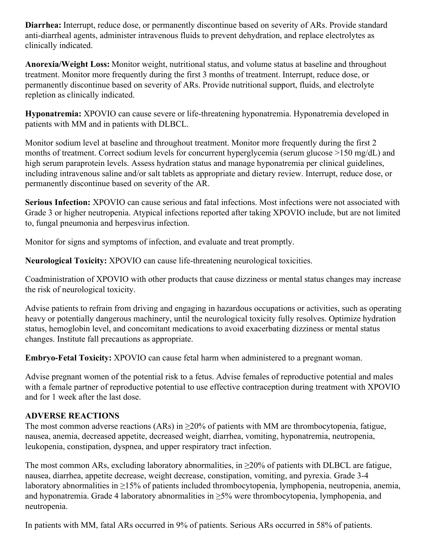**Diarrhea:** Interrupt, reduce dose, or permanently discontinue based on severity of ARs. Provide standard anti-diarrheal agents, administer intravenous fluids to prevent dehydration, and replace electrolytes as clinically indicated.

**Anorexia/Weight Loss:** Monitor weight, nutritional status, and volume status at baseline and throughout treatment. Monitor more frequently during the first 3 months of treatment. Interrupt, reduce dose, or permanently discontinue based on severity of ARs. Provide nutritional support, fluids, and electrolyte repletion as clinically indicated.

**Hyponatremia:** XPOVIO can cause severe or life-threatening hyponatremia. Hyponatremia developed in patients with MM and in patients with DLBCL.

Monitor sodium level at baseline and throughout treatment. Monitor more frequently during the first 2 months of treatment. Correct sodium levels for concurrent hyperglycemia (serum glucose >150 mg/dL) and high serum paraprotein levels. Assess hydration status and manage hyponatremia per clinical guidelines, including intravenous saline and/or salt tablets as appropriate and dietary review. Interrupt, reduce dose, or permanently discontinue based on severity of the AR.

**Serious Infection:** XPOVIO can cause serious and fatal infections. Most infections were not associated with Grade 3 or higher neutropenia. Atypical infections reported after taking XPOVIO include, but are not limited to, fungal pneumonia and herpesvirus infection.

Monitor for signs and symptoms of infection, and evaluate and treat promptly.

**Neurological Toxicity:** XPOVIO can cause life-threatening neurological toxicities.

Coadministration of XPOVIO with other products that cause dizziness or mental status changes may increase the risk of neurological toxicity.

Advise patients to refrain from driving and engaging in hazardous occupations or activities, such as operating heavy or potentially dangerous machinery, until the neurological toxicity fully resolves. Optimize hydration status, hemoglobin level, and concomitant medications to avoid exacerbating dizziness or mental status changes. Institute fall precautions as appropriate.

**Embryo-Fetal Toxicity:** XPOVIO can cause fetal harm when administered to a pregnant woman.

Advise pregnant women of the potential risk to a fetus. Advise females of reproductive potential and males with a female partner of reproductive potential to use effective contraception during treatment with XPOVIO and for 1 week after the last dose.

### **ADVERSE REACTIONS**

The most common adverse reactions (ARs) in  $\geq$ 20% of patients with MM are thrombocytopenia, fatigue, nausea, anemia, decreased appetite, decreased weight, diarrhea, vomiting, hyponatremia, neutropenia, leukopenia, constipation, dyspnea, and upper respiratory tract infection.

The most common ARs, excluding laboratory abnormalities, in  $\geq$ 20% of patients with DLBCL are fatigue, nausea, diarrhea, appetite decrease, weight decrease, constipation, vomiting, and pyrexia. Grade 3-4 laboratory abnormalities in ≥15% of patients included thrombocytopenia, lymphopenia, neutropenia, anemia, and hyponatremia. Grade 4 laboratory abnormalities in  $\geq$ 5% were thrombocytopenia, lymphopenia, and neutropenia.

In patients with MM, fatal ARs occurred in 9% of patients. Serious ARs occurred in 58% of patients.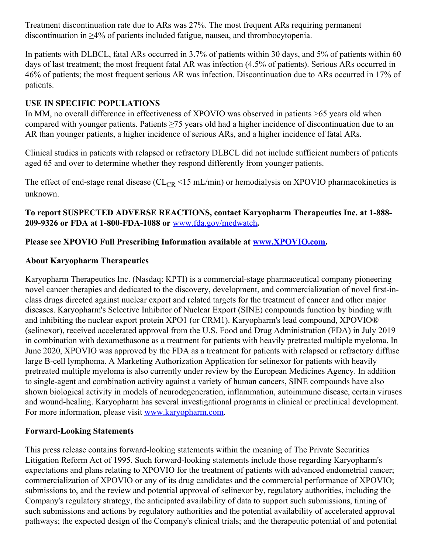Treatment discontinuation rate due to ARs was 27%. The most frequent ARs requiring permanent discontinuation in ≥4% of patients included fatigue, nausea, and thrombocytopenia.

In patients with DLBCL, fatal ARs occurred in 3.7% of patients within 30 days, and 5% of patients within 60 days of last treatment; the most frequent fatal AR was infection (4.5% of patients). Serious ARs occurred in 46% of patients; the most frequent serious AR was infection. Discontinuation due to ARs occurred in 17% of patients.

### **USE IN SPECIFIC POPULATIONS**

In MM, no overall difference in effectiveness of XPOVIO was observed in patients >65 years old when compared with younger patients. Patients ≥75 years old had a higher incidence of discontinuation due to an AR than younger patients, a higher incidence of serious ARs, and a higher incidence of fatal ARs.

Clinical studies in patients with relapsed or refractory DLBCL did not include sufficient numbers of patients aged 65 and over to determine whether they respond differently from younger patients.

The effect of end-stage renal disease ( $CL_{CR}$  <15 mL/min) or hemodialysis on XPOVIO pharmacokinetics is unknown.

**To report SUSPECTED ADVERSE REACTIONS, contact Karyopharm Therapeutics Inc. at 1-888- 209-9326 or FDA at 1-800-FDA-1088 or** [www.fda.gov/medwatch](https://c212.net/c/link/?t=0&l=en&o=2992531-1&h=149713513&u=https%3A%2F%2Fc212.net%2Fc%2Flink%2F%3Ft%3D0%26l%3Den%26o%3D2875172-1%26h%3D1477507959%26u%3Dhttp%253A%252F%252Fwww.fda.gov%252Fmedwatch%26a%3Dwww.fda.gov%252Fmedwatch&a=www.fda.gov%2Fmedwatch)**.**

### **Please see XPOVIO Full Prescribing Information available at [www.XPOVIO.com](https://c212.net/c/link/?t=0&l=en&o=2992531-1&h=3269273003&u=https%3A%2F%2Fc212.net%2Fc%2Flink%2F%3Ft%3D0%26l%3Den%26o%3D2875172-1%26h%3D3088030465%26u%3Dhttp%253A%252F%252Fwww.xpovio.com%252F%26a%3Dwww.XPOVIO.com&a=www.XPOVIO.com).**

#### **About Karyopharm Therapeutics**

Karyopharm Therapeutics Inc. (Nasdaq: KPTI) is a commercial-stage pharmaceutical company pioneering novel cancer therapies and dedicated to the discovery, development, and commercialization of novel first-inclass drugs directed against nuclear export and related targets for the treatment of cancer and other major diseases. Karyopharm's Selective Inhibitor of Nuclear Export (SINE) compounds function by binding with and inhibiting the nuclear export protein XPO1 (or CRM1). Karyopharm's lead compound, XPOVIO® (selinexor), received accelerated approval from the U.S. Food and Drug Administration (FDA) in July 2019 in combination with dexamethasone as a treatment for patients with heavily pretreated multiple myeloma. In June 2020, XPOVIO was approved by the FDA as a treatment for patients with relapsed or refractory diffuse large B-cell lymphoma. A Marketing Authorization Application for selinexor for patients with heavily pretreated multiple myeloma is also currently under review by the European Medicines Agency. In addition to single-agent and combination activity against a variety of human cancers, SINE compounds have also shown biological activity in models of neurodegeneration, inflammation, autoimmune disease, certain viruses and wound-healing. Karyopharm has several investigational programs in clinical or preclinical development. For more information, please visit [www.karyopharm.com](https://c212.net/c/link/?t=0&l=en&o=2992531-1&h=1324222977&u=http%3A%2F%2Fwww.karyopharm.com%2F&a=www.karyopharm.com).

#### **Forward-Looking Statements**

This press release contains forward-looking statements within the meaning of The Private Securities Litigation Reform Act of 1995. Such forward-looking statements include those regarding Karyopharm's expectations and plans relating to XPOVIO for the treatment of patients with advanced endometrial cancer; commercialization of XPOVIO or any of its drug candidates and the commercial performance of XPOVIO; submissions to, and the review and potential approval of selinexor by, regulatory authorities, including the Company's regulatory strategy, the anticipated availability of data to support such submissions, timing of such submissions and actions by regulatory authorities and the potential availability of accelerated approval pathways; the expected design of the Company's clinical trials; and the therapeutic potential of and potential